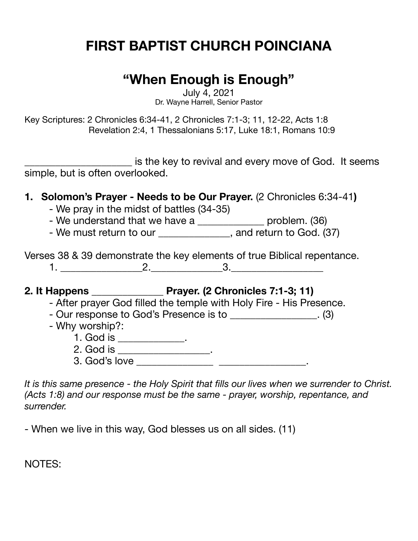# **FIRST BAPTIST CHURCH POINCIANA**

## **"When Enough is Enough"**

July 4, 2021 Dr. Wayne Harrell, Senior Pastor

Key Scriptures: 2 Chronicles 6:34-41, 2 Chronicles 7:1-3; 11, 12-22, Acts 1:8 Revelation 2:4, 1 Thessalonians 5:17, Luke 18:1, Romans 10:9

is the key to revival and every move of God. It seems simple, but is often overlooked.

- **1. Solomon's Prayer Needs to be Our Prayer.** (2 Chronicles 6:34-41**)** 
	- We pray in the midst of battles (34-35)
	- We understand that we have a \_\_\_\_\_\_\_\_\_\_\_\_\_\_\_ problem. (36)
	- We must return to our \_\_\_\_\_\_\_\_\_\_\_\_\_, and return to God. (37)

Verses 38 & 39 demonstrate the key elements of true Biblical repentance. 1. \_\_\_\_\_\_\_\_\_\_\_\_\_\_\_\_2.\_\_\_\_\_\_\_\_\_\_\_\_\_\_3.\_\_\_\_\_\_\_\_\_\_\_\_\_\_\_\_\_\_

**2. It Happens \_\_\_\_\_\_\_\_\_\_\_\_\_\_ Prayer. (2 Chronicles 7:1-3; 11)** 

- After prayer God filled the temple with Holy Fire His Presence.
- Our response to God's Presence is to \_\_\_\_\_\_\_\_\_\_\_\_\_\_\_\_. (3)
- Why worship?:
	- 1. God is \_\_\_\_\_\_\_\_\_\_\_\_\_.
	- 2. God is \_\_\_\_\_\_\_\_\_\_\_\_\_\_\_\_\_\_\_.
	- 3. God's love \_\_\_\_\_\_\_\_\_\_\_\_\_\_\_ \_\_\_\_\_\_\_\_\_\_\_\_\_\_\_\_\_.

*It is this same presence - the Holy Spirit that fills our lives when we surrender to Christ. (Acts 1:8) and our response must be the same - prayer, worship, repentance, and surrender.*

- When we live in this way, God blesses us on all sides. (11)

NOTES: